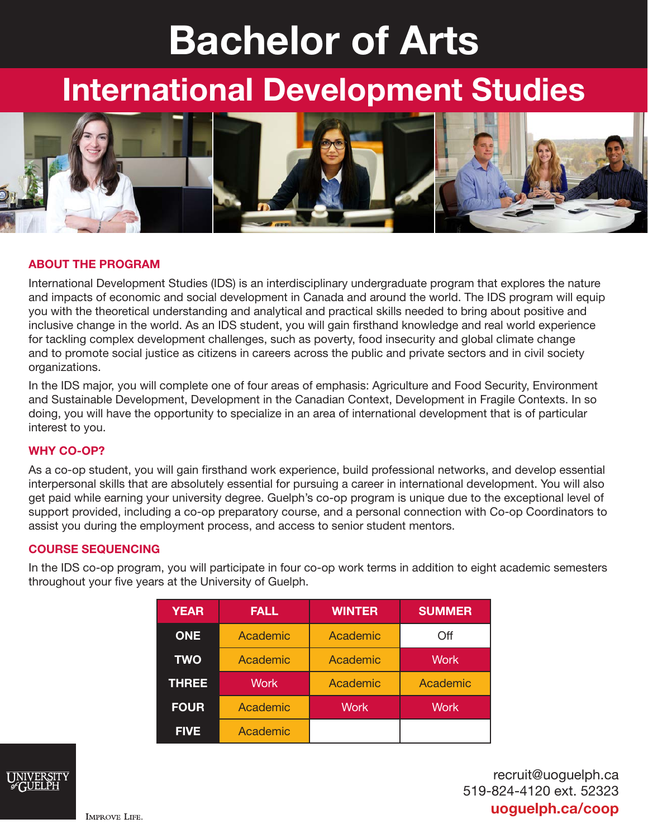# Bachelor of Arts

## International Development Studies



#### ABOUT THE PROGRAM

International Development Studies (IDS) is an interdisciplinary undergraduate program that explores the nature and impacts of economic and social development in Canada and around the world. The IDS program will equip you with the theoretical understanding and analytical and practical skills needed to bring about positive and inclusive change in the world. As an IDS student, you will gain firsthand knowledge and real world experience for tackling complex development challenges, such as poverty, food insecurity and global climate change and to promote social justice as citizens in careers across the public and private sectors and in civil society organizations.

In the IDS major, you will complete one of four areas of emphasis: Agriculture and Food Security, Environment and Sustainable Development, Development in the Canadian Context, Development in Fragile Contexts. In so doing, you will have the opportunity to specialize in an area of international development that is of particular interest to you.

#### WHY CO-OP?

As a co-op student, you will gain firsthand work experience, build professional networks, and develop essential interpersonal skills that are absolutely essential for pursuing a career in international development. You will also get paid while earning your university degree. Guelph's co-op program is unique due to the exceptional level of support provided, including a co-op preparatory course, and a personal connection with Co-op Coordinators to assist you during the employment process, and access to senior student mentors.

#### COURSE SEQUENCING

In the IDS co-op program, you will participate in four co-op work terms in addition to eight academic semesters throughout your five years at the University of Guelph.

| <b>YEAR</b>  | <b>FALL</b> | <b>WINTER</b> | <b>SUMMER</b> |
|--------------|-------------|---------------|---------------|
| <b>ONE</b>   | Academic    | Academic      | Off           |
| <b>TWO</b>   | Academic    | Academic      | <b>Work</b>   |
| <b>THREE</b> | <b>Work</b> | Academic      | Academic      |
| <b>FOUR</b>  | Academic    | <b>Work</b>   | <b>Work</b>   |
| <b>FIVE</b>  | Academic    |               |               |



recruit@uoguelph.ca 519-824-4120 ext. 52323 uoguelph.ca/coop